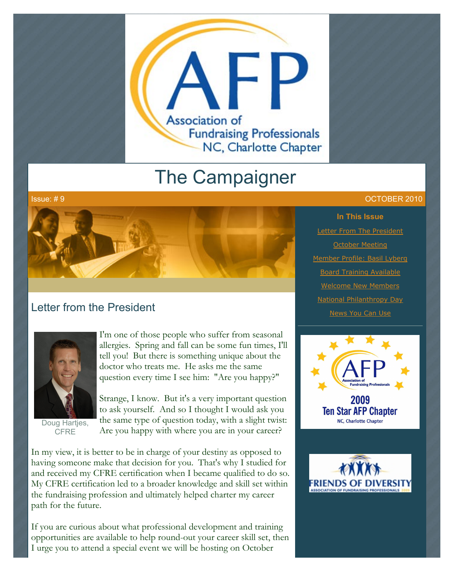

# The Campaigner



# Letter from the President



Doug Hartjes, **CFRE** 

I'm one of those people who suffer from seasonal allergies. Spring and fall can be some fun times, I'll tell you! But there is something unique about the doctor who treats me. He asks me the same question every time I see him: "Are you happy?"

Strange, I know. But it's a very important question to ask yourself. And so I thought I would ask you the same type of question today, with a slight twist: Are you happy with where you are in your career?

In my view, it is better to be in charge of your destiny as opposed to having someone make that decision for you. That's why I studied for and received my CFRE certification when I became qualified to do so. My CFRE certification led to a broader knowledge and skill set within the fundraising profession and ultimately helped charter my career path for the future.

If you are curious about what professional development and training opportunities are available to help round-out your career skill set, then I urge you to attend a special event we will be hosting on October

#### Issue: # 9 OCTOBER 2010

**In This Issue** [Letter From The President](http://archive.constantcontact.com/fs051/1101610725496/archive/1103676045662.html#LETTER.BLOCK6) [October Meeting](http://archive.constantcontact.com/fs051/1101610725496/archive/1103676045662.html#LETTER.BLOCK8) [Member Profile: Basil Lyberg](http://archive.constantcontact.com/fs051/1101610725496/archive/1103676045662.html#LETTER.BLOCK10) [Board Training Available](http://archive.constantcontact.com/fs051/1101610725496/archive/1103676045662.html#LETTER.BLOCK12) [Welcome New Members](http://archive.constantcontact.com/fs051/1101610725496/archive/1103676045662.html#LETTER.BLOCK14) [National Philanthropy Day](http://archive.constantcontact.com/fs051/1101610725496/archive/1103676045662.html#LETTER.BLOCK16) **[News You Can Use](http://archive.constantcontact.com/fs051/1101610725496/archive/1103676045662.html#LETTER.BLOCK18)** 



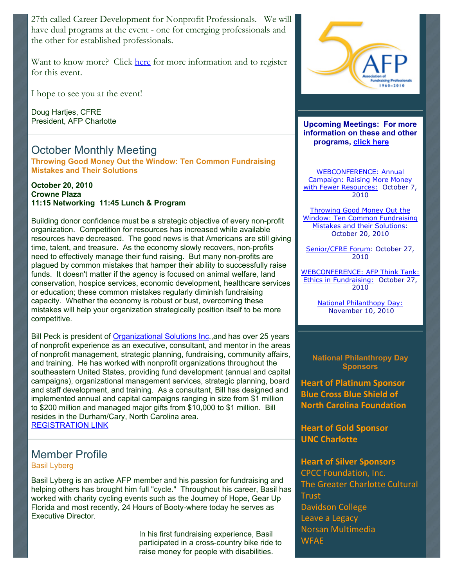27th called Career Development for Nonprofit Professionals. We will have dual programs at the event - one for emerging professionals and the other for established professionals.

Want to know more? Click [here](http://www.afp-charlotte.org/rsvp_details.html?id=2945) for more information and to register for this event.

I hope to see you at the event!

Doug Hartjes, CFRE President, AFP Charlotte

# October Monthly Meeting

**Throwing Good Money Out the Window: Ten Common Fundraising Mistakes and Their Solutions**

#### **October 20, 2010 Crowne Plaza 11:15 Networking 11:45 Lunch & Program**

Building donor confidence must be a strategic objective of every non-profit organization. Competition for resources has increased while available resources have decreased. The good news is that Americans are still giving time, talent, and treasure. As the economy slowly recovers, non-profits need to effectively manage their fund raising. But many non-profits are plagued by common mistakes that hamper their ability to successfully raise funds. It doesn't matter if the agency is focused on animal welfare, land conservation, hospice services, economic development, healthcare services or education; these common mistakes regularly diminish fundraising capacity. Whether the economy is robust or bust, overcoming these mistakes will help your organization strategically position itself to be more competitive.

Bill Peck is president of [Organizational Solutions Inc.](http://www.orgsoln.com/),and has over 25 years of nonprofit experience as an executive, consultant, and mentor in the areas of nonprofit management, strategic planning, fundraising, community affairs, and training. He has worked with nonprofit organizations throughout the southeastern United States, providing fund development (annual and capital campaigns), organizational management services, strategic planning, board and staff development, and training. As a consultant, Bill has designed and implemented annual and capital campaigns ranging in size from \$1 million to \$200 million and managed major gifts from \$10,000 to \$1 million. Bill resides in the Durham/Cary, North Carolina area. [REGISTRATION LINK](http://www.afp-charlotte.org/rsvp_details.html?id=2967)

# Member Profile

Basil Lyberg

Basil Lyberg is an active AFP member and his passion for fundraising and helping others has brought him full "cycle." Throughout his career, Basil has worked with charity cycling events such as the Journey of Hope, Gear Up Florida and most recently, 24 Hours of Booty-where today he serves as Executive Director.

> In his first fundraising experience, Basil participated in a cross-country bike ride to raise money for people with disabilities.



**Upcoming Meetings: For more information on these and other programs, click here** 

WEBCONFERENCE: Annual Campaign: Raising More Money [with Fewer Resources: October 7](http://www.afp-charlotte.org/rsvp_details.html?id=2822), 2010

Throwing Good Money Out the [Window: Ten Common Fundraising](http://www.afp-charlotte.org/rsvp_details.html?id=2967) Mistakes and their Solutions: October 20, 2010

[Senior/CFRE Forum:](http://www.afp-charlotte.org/rsvp_details.html?id=2945) October 27, 2010

[WEBCONFERENCE: AFP Think Tank:](http://www.afp-charlotte.org/rsvp_details.html?id=2824) Ethics in Fundraising: October 27, 2010

> [National Philanthopy Day:](http://www.afp-charlotte.org/rsvp_details.html?id=2925) November 10, 2010

### **National Philanthropy Day Sponsors**

**Heart of Platinum Sponsor Blue Cross Blue Shield of North Carolina Foundation** 

**Heart of Gold Sponsor UNC Charlotte** 

## **Heart of Silver Sponsors**

CPCC Foundation, Inc. The Greater Charlotte Cultural Trust **Davidson College** Leave a Legacy Norsan#Multimedia WFAE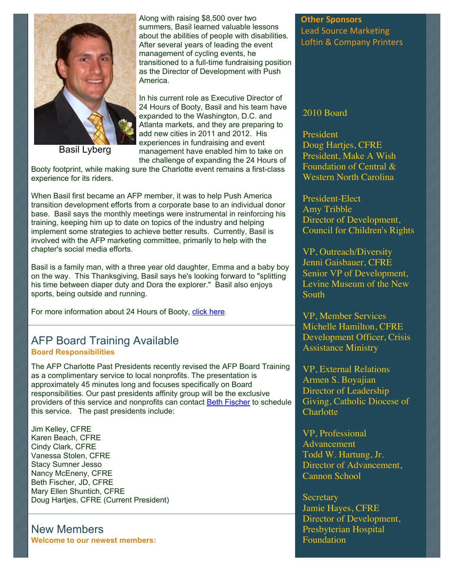

Basil Lyberg

Along with raising \$8,500 over two summers, Basil learned valuable lessons about the abilities of people with disabilities. After several years of leading the event management of cycling events, he transitioned to a full-time fundraising position as the Director of Development with Push America.

In his current role as Executive Director of 24 Hours of Booty, Basil and his team have expanded to the Washington, D.C. and Atlanta markets, and they are preparing to add new cities in 2011 and 2012. His experiences in fundraising and event management have enabled him to take on the challenge of expanding the 24 Hours of

Booty footprint, while making sure the Charlotte event remains a first-class experience for its riders.

When Basil first became an AFP member, it was to help Push America transition development efforts from a corporate base to an individual donor base. Basil says the monthly meetings were instrumental in reinforcing his training, keeping him up to date on topics of the industry and helping implement some strategies to achieve better results. Currently, Basil is involved with the AFP marketing committee, primarily to help with the chapter's social media efforts.

Basil is a family man, with a three year old daughter, Emma and a baby boy on the way. This Thanksgiving, Basil says he's looking forward to "splitting his time between diaper duty and Dora the explorer." Basil also enjoys sports, being outside and running.

For more information about 24 Hours of Booty, [click here.](http://www.24hoursofbooty.org/)

## AFP Board Training Available **Board Responsibilities**

The AFP Charlotte Past Presidents recently revised the AFP Board Training as a complimentary service to local nonprofits. The presentation is approximately 45 minutes long and focuses specifically on Board responsibilities. Our past presidents affinity group will be the exclusive providers of this service and nonprofits can contact **Beth Fischer** to schedule this service. The past presidents include:

Jim Kelley, CFRE Karen Beach, CFRE Cindy Clark, CFRE Vanessa Stolen, CFRE Stacy Sumner Jesso Nancy McEneny, CFRE Beth Fischer, JD, CFRE Mary Ellen Shuntich, CFRE Doug Hartjes, CFRE (Current President)

New Members **Welcome to our newest members:**

## **Other Sponsors** Lead Source Marketing Loftin & Company Printers

## 2010 Board

President Doug Hartjes, CFRE President, Make A Wish Foundation of Central & Western North Carolina

President-Elect Amy Tribble Director of Development, Council for Children's Rights

VP, Outreach/Diversity Jenni Gaisbauer, CFRE Senior VP of Development, Levine Museum of the New South

VP, Member Services Michelle Hamilton, CFRE Development Officer, Crisis Assistance Ministry

VP, External Relations Armen S. Boyajian Director of Leadership Giving, Catholic Diocese of **Charlotte** 

VP, Professional Advancement Todd W. Hartung, Jr. Director of Advancement, Cannon School

**Secretary** Jamie Hayes, CFRE Director of Development, Presbyterian Hospital Foundation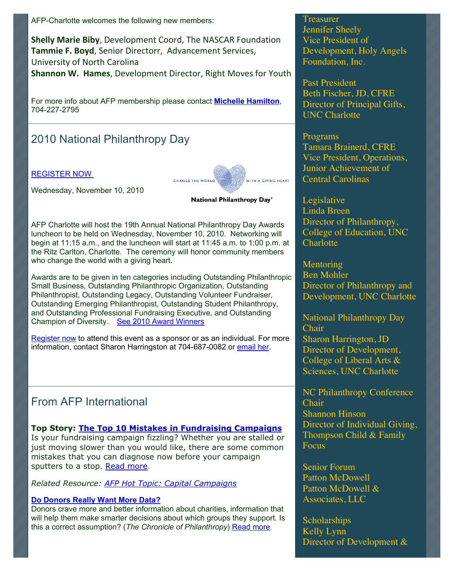AFP-Charlotte welcomes the following new members:

**Shelly Marie Biby**, Development Coord, The NASCAR Foundation Tammie F. Boyd, Senior Directorr, Advancement Services, University of North Carolina **Shannon W. Hames, Development Director, Right Moves for Youth** 

For more info about AFP membership please contact **[Michelle Hamilton](mailto:mhamilton@crisisassistance.org)**, 704-227-2795

# 2010 National Philanthropy Day

#### [REGISTER NOW](http://www.afp-charlotte.org/rsvp_details.html?id=2925)

Wednesday, November 10, 2010



National Philanthropy Day®

AFP Charlotte will host the 19th Annual National Philanthropy Day Awards luncheon to be held on Wednesday, November 10, 2010. Networking will begin at 11:15 a.m., and the luncheon will start at 11:45 a.m. to 1:00 p.m. at the Ritz Carlton, Charlotte. The ceremony will honor community members who change the world with a giving heart.

Awards are to be given in ten categories including Outstanding Philanthropic Small Business, Outstanding Philanthropic Organization, Outstanding Philanthropist, Outstanding Legacy, Outstanding Volunteer Fundraiser, Outstanding Emerging Philanthropist, Outstanding Student Philanthropy, and Outstanding Professional Fundraising Executive, and Outstanding Champion of Diversity. [See 2010 Award Winners](http://archive.constantcontact.com/fs051/1101610725496/archive/1103605995535.html)

[Register now](http://www.afp-charlotte.org/rsvp_details.html?id=2925) to attend this event as a sponsor or as an individual. For more information, contact Sharon Harringston at 704-687-0082 or [email her.](mailto:scharrin@uncc.edu)

# From AFP International

## **Top Story: [The Top 10 Mistakes in Fundraising Campaigns](http://guest.cvent.com/events/mproc.aspx?m=430a7965-b96f-4fbb-a008-e47141e32835&t=http%3a%2f%2fwww.afpnet.org%2fResourceCenter%2fArticleDetail.cfm%3fItemNumber%3d4610&s=The+%0d%0a++++++++++++++++++++++++++++++++++++++++++++++Top+10+Mistakes+in+Fundraising+Campaigns)**

Is your fundraising campaign fizzling? Whether you are stalled or just moving slower than you would like, there are some common mistakes that you can diagnose now before your campaign sputters to a stop. [Read more.](http://guest.cvent.com/events/mproc.aspx?m=430a7965-b96f-4fbb-a008-e47141e32835&t=http%3a%2f%2fwww.afpnet.org%2fResourceCenter%2fArticleDetail.cfm%3fItemNumber%3d4610&s=Read+%0d%0a++++++++++++++++++++++++++++++++++++++++++++++more)

*Related Resource: [AFP Hot Topic: Capital Campaigns](http://guest.cvent.com/events/mproc.aspx?m=430a7965-b96f-4fbb-a008-e47141e32835&t=http%3a%2f%2fwww.afpnet.org%2fbbtdetail.cfm%3fitemnumber%3d4018&s=AFP+%0d%0a++++++++++++++++++++++++++++++++++++++++++++++Hot+Topic%3a+Capital+Campaigns)*

## **[Do Donors Really Want More Data?](http://guest.cvent.com/events/mproc.aspx?m=430a7965-b96f-4fbb-a008-e47141e32835&t=http%3a%2f%2fphilanthropy.com%2fblogPost%2fDo-Donors-Really-Want-More%2f27115%2f%3fsid%3d%26utm_source%3d%26utm_medium%3den&s=Do+%0d%0a++++++++++++++++++++++++++++Donors+Really+Want+More+Data%3f)**

Donors crave more and better information about charities, information that will help them make smarter decisions about which groups they support. Is this a correct assumption? (*The Chronicle of Philanthropy*) [Read more.](http://guest.cvent.com/events/mproc.aspx?m=430a7965-b96f-4fbb-a008-e47141e32835&t=http%3a%2f%2fphilanthropy.com%2fblogPost%2fDo-Donors-Really-Want-More%2f27115%2f%3fsid%3d%26utm_source%3d%26utm_medium%3den&s=Read+%0d%0a++++++++++++++++++++++++++++more)

Treasurer Jennifer Sheely Vice President of Development, Holy Angels Foundation, Inc.

Past President Beth Fischer, JD, CFRE Director of Principal Gifts, UNC Charlotte

Programs Tamara Brainerd, CFRE Vice President, Operations, Junior Achievement of Central Carolinas

**Legislative** Linda Breen Director of Philanthropy, College of Education, UNC **Charlotte** 

**Mentoring** Ben Mohler Director of Philanthropy and Development, UNC Charlotte

National Philanthropy Day Chair Sharon Harrington, JD Director of Development, College of Liberal Arts & Sciences, UNC Charlotte

NC Philanthropy Conference Chair Shannon Hinson Director of Individual Giving, Thompson Child & Family **Focus** 

Senior Forum Patton McDowell Patton McDowell & Associates, LLC

**Scholarships** Kelly Lynn Director of Development &